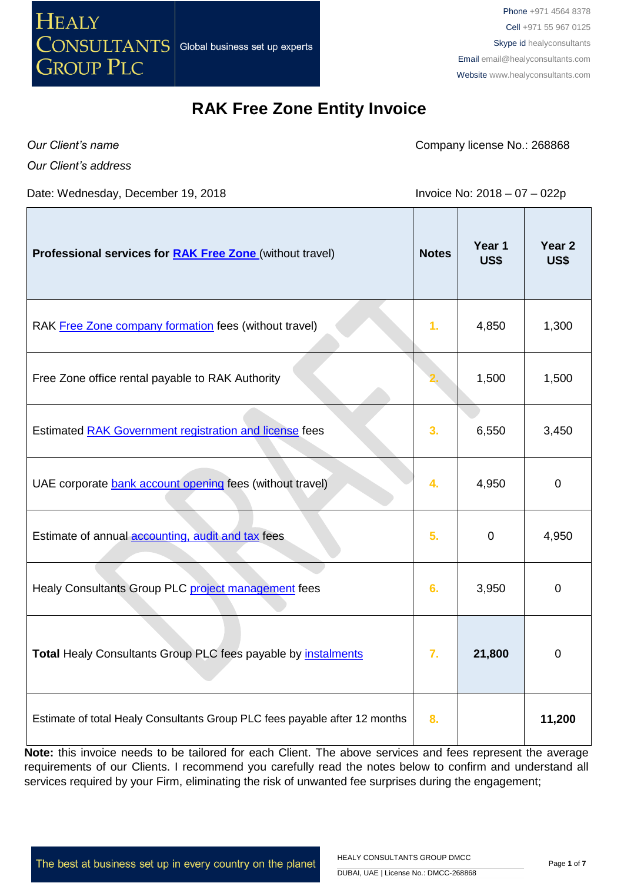

Phone +971 4564 8378 Cell +971 55 967 0125 Skype id healyconsultants Email [email@healyconsultants.com](mailto:EMAIL@HEALYCONSULTANTS.COM) Website [www.healyconsultants.com](http://www.healyconsultants.com/)

### **RAK Free Zone Entity Invoice**

*Our Client's name*

*Our Client's address*

Date: Wednesday, December 19, 2018 **Invoice No: 2018 - 07 - 022p** 

Company license No.: 268868

| Professional services for <b>RAK Free Zone</b> (without travel)            | <b>Notes</b> | Year 1<br>US\$ | Year <sub>2</sub><br><b>US\$</b> |
|----------------------------------------------------------------------------|--------------|----------------|----------------------------------|
| RAK Free Zone company formation fees (without travel)                      | 1.           | 4,850          | 1,300                            |
| Free Zone office rental payable to RAK Authority                           |              | 1,500          | 1,500                            |
| Estimated RAK Government registration and license fees                     | 3.           | 6,550          | 3,450                            |
| UAE corporate bank account opening fees (without travel)                   | 4.           | 4,950          | $\mathbf 0$                      |
| Estimate of annual <b>accounting</b> , audit and tax fees                  | 5.           | $\mathbf 0$    | 4,950                            |
| Healy Consultants Group PLC project management fees                        | 6.           | 3,950          | $\mathbf 0$                      |
| Total Healy Consultants Group PLC fees payable by instalments              | 7.           | 21,800         | 0                                |
| Estimate of total Healy Consultants Group PLC fees payable after 12 months | 8.           |                | 11,200                           |

Note: this invoice needs to be tailored for each Client. The above services and fees represent the average requirements of our Clients. I recommend you carefully read the notes below to confirm and understand all services required by your Firm, eliminating the risk of unwanted fee surprises during the engagement;

The best at business set up in every country on the planet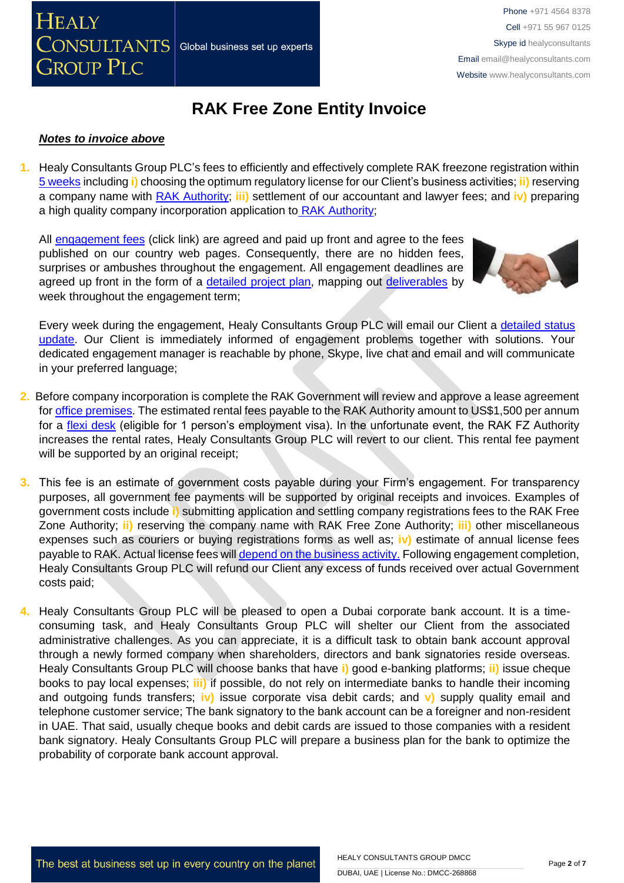

# **RAK Free Zone Entity Invoice**

#### *Notes to invoice above*

**1.** Healy Consultants Group PLC's fees to efficiently and effectively complete RAK freezone registration within [5 weeks](http://www.healyconsultants.com/ras-al-khaimah-free-zone/fees-timelines/#timelines) including **i)** choosing the optimum regulatory license for our Client's business activities; **ii)** reserving a company name with [RAK Authority;](http://rakftz.com/) **iii)** settlement of our accountant and lawyer fees; and **iv)** preparing a high quality company incorporation application to [RAK Authority;](http://rakftz.com/)

All [engagement fees](http://www.healyconsultants.com/company-registration-fees/) (click link) are agreed and paid up front and agree to the fees published on our country web pages. Consequently, there are no hidden fees, surprises or ambushes throughout the engagement. All engagement deadlines are agreed up front in the form of a [detailed project plan,](http://www.healyconsultants.com/index-important-links/example-project-plan/) mapping out [deliverables](http://www.healyconsultants.com/deliverables-to-our-clients/) by week throughout the engagement term;



Every week during the engagement, Healy Consultants Group PLC will email our Client a detailed status [update.](http://www.healyconsultants.com/index-important-links/weekly-engagement-status-email/) Our Client is immediately informed of engagement problems together with solutions. Your dedicated engagement manager is reachable by phone, Skype, live chat and email and will communicate in your preferred language;

- **2.** Before company incorporation is complete the RAK Government will review and approve a lease agreement fo[r office premises.](http://www.healyconsultants.com/virtual-office/) The estimated rental fees payable to the RAK Authority amount to US\$1,500 per annum for a [flexi desk](http://rak-ia.com/business-setup/108-2/flexi-facilities/) (eligible for 1 person's employment visa). In the unfortunate event, the RAK FZ Authority increases the rental rates, Healy Consultants Group PLC will revert to our client. This rental fee payment will be supported by an original receipt:
- **3.** This fee is an estimate of government costs payable during your Firm's engagement. For transparency purposes, all government fee payments will be supported by original receipts and invoices. Examples of government costs include **i)** submitting application and settling company registrations fees to the RAK Free Zone Authority; **ii)** reserving the company name with RAK Free Zone Authority; **iii)** other miscellaneous expenses such as couriers or buying registrations forms as well as; **iv)** estimate of annual license fees payable to RAK. Actual license fees will [depend on the business activity.](http://rakftz.com/) Following engagement completion, Healy Consultants Group PLC will refund our Client any excess of funds received over actual Government costs paid;
- **4.** Healy Consultants Group PLC will be pleased to open a Dubai corporate bank account. It is a timeconsuming task, and Healy Consultants Group PLC will shelter our Client from the associated administrative challenges. As you can appreciate, it is a difficult task to obtain bank account approval through a newly formed company when shareholders, directors and bank signatories reside overseas. Healy Consultants Group PLC will choose banks that have **i)** good e-banking platforms; **ii)** issue cheque books to pay local expenses; **iii)** if possible, do not rely on intermediate banks to handle their incoming and outgoing funds transfers; **iv)** issue corporate visa debit cards; and **v)** supply quality email and telephone customer service; The bank signatory to the bank account can be a foreigner and non-resident in UAE. That said, usually cheque books and debit cards are issued to those companies with a resident bank signatory. Healy Consultants Group PLC will prepare a business plan for the bank to optimize the probability of corporate bank account approval.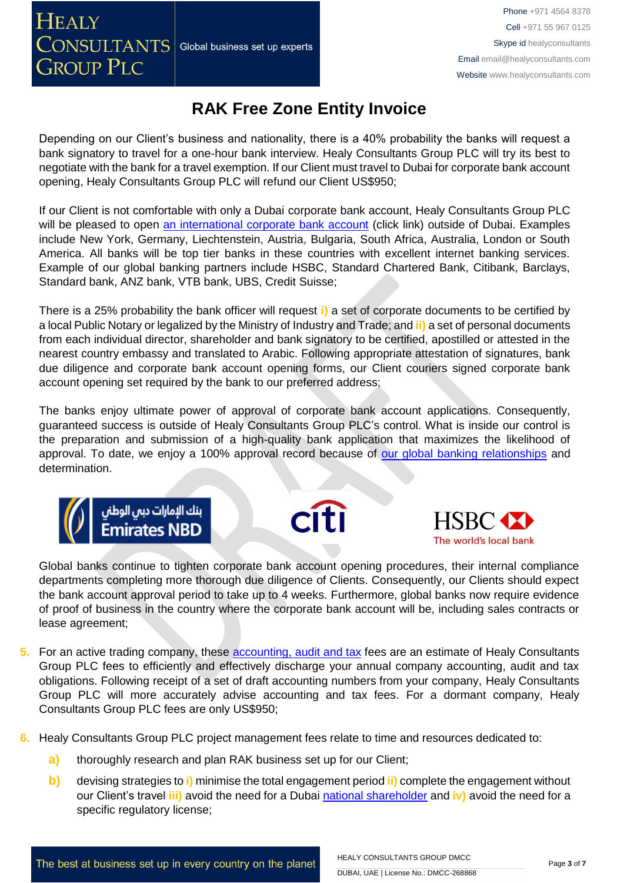**HEALY** 

## **RAK Free Zone Entity Invoice**

Depending on our Client's business and nationality, there is a 40% probability the banks will request a bank signatory to travel for a one-hour bank interview. Healy Consultants Group PLC will try its best to negotiate with the bank for a travel exemption. If our Client must travel to Dubai for corporate bank account opening, Healy Consultants Group PLC will refund our Client US\$950;

If our Client is not comfortable with only a Dubai corporate bank account, Healy Consultants Group PLC will be pleased to open [an international corporate bank account](http://www.healyconsultants.com/international-banking/) (click link) outside of Dubai. Examples include New York, Germany, Liechtenstein, Austria, Bulgaria, South Africa, Australia, London or South America. All banks will be top tier banks in these countries with excellent internet banking services. Example of our global banking partners include HSBC, Standard Chartered Bank, Citibank, Barclays, Standard bank, ANZ bank, VTB bank, UBS, Credit Suisse;

There is a 25% probability the bank officer will request **i)** a set of corporate documents to be certified by a local Public Notary or legalized by the Ministry of Industry and Trade; and **ii)** a set of personal documents from each individual director, shareholder and bank signatory to be certified, apostilled or attested in the nearest country embassy and translated to Arabic. Following appropriate attestation of signatures, bank due diligence and corporate bank account opening forms, our Client couriers signed corporate bank account opening set required by the bank to our preferred address;

The banks enjoy ultimate power of approval of corporate bank account applications. Consequently, guaranteed success is outside of Healy Consultants Group PLC's control. What is inside our control is the preparation and submission of a high-quality bank application that maximizes the likelihood of approval. To date, we enjoy a 100% approval record because of [our global banking relationships](http://www.healyconsultants.com/international-banking/corporate-accounts/) and determination.







Global banks continue to tighten corporate bank account opening procedures, their internal compliance departments completing more thorough due diligence of Clients. Consequently, our Clients should expect the bank account approval period to take up to 4 weeks. Furthermore, global banks now require evidence of proof of business in the country where the corporate bank account will be, including sales contracts or lease agreement;

- **5.** For an active trading company, these [accounting, audit](http://www.healyconsultants.com/uae-company-registration/tax-planning/) and tax fees are an estimate of Healy Consultants Group PLC fees to efficiently and effectively discharge your annual company accounting, audit and tax obligations. Following receipt of a set of draft accounting numbers from your company, Healy Consultants Group PLC will more accurately advise accounting and tax fees. For a dormant company, Healy Consultants Group PLC fees are only US\$950;
- **6.** Healy Consultants Group PLC project management fees relate to time and resources dedicated to:
	- **a)** thoroughly research and plan RAK business set up for our Client;
	- **b)** devising strategies to **i)** minimise the total engagement period **ii)** complete the engagement without our Client's travel **iii)** avoid the need for a Dubai [national](http://www.healyconsultants.com/corporate-advisory-services/nominee-shareholders-directors/national-shareholder-services/) [shareholder](http://www.healyconsultants.com/corporate-advisory-services/nominee-shareholders-directors/national-shareholder-services/) and **iv)** avoid the need for a specific regulatory license;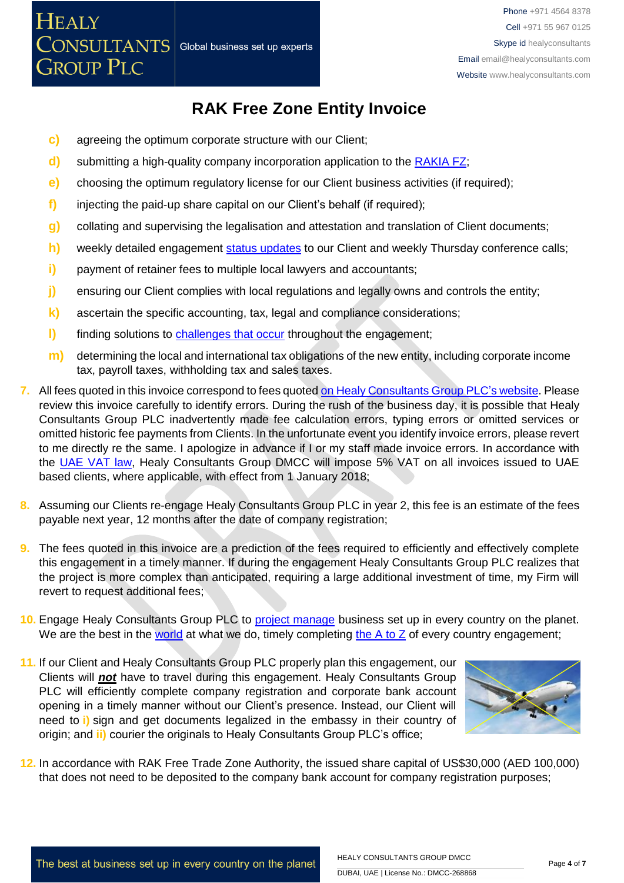## **RAK Free Zone Entity Invoice**

- **c)** agreeing the optimum corporate structure with our Client;
- **d)** submitting a high-quality company incorporation application to the **RAKIA FZ**;
- **e)** choosing the optimum regulatory license for our Client business activities (if required);
- **f)** injecting the paid-up share capital on our Client's behalf (if required);
- **g)** collating and supervising the legalisation and attestation and translation of Client documents;
- **h)** weekly detailed engagement [status updates](http://www.healyconsultants.com/index-important-links/weekly-engagement-status-email/) to our Client and weekly Thursday conference calls;
- **i)** payment of retainer fees to multiple local lawyers and accountants;
- **j)** ensuring our Client complies with local regulations and legally owns and controls the entity;
- **k)** ascertain the specific accounting, tax, legal and compliance considerations;
- **l)** finding solutions to [challenges that occur](http://www.healyconsultants.com/engagement-project-management/) throughout the engagement;
- **m)** determining the local and international tax obligations of the new entity, including corporate income tax, payroll taxes, withholding tax and sales taxes.
- **7.** All fees quoted in this invoice correspond to fees quoted [on Healy Consultants Group PLC's](http://www.healyconsultants.com/company-registration-fees/) website. Please review this invoice carefully to identify errors. During the rush of the business day, it is possible that Healy Consultants Group PLC inadvertently made fee calculation errors, typing errors or omitted services or omitted historic fee payments from Clients. In the unfortunate event you identify invoice errors, please revert to me directly re the same. I apologize in advance if I or my staff made invoice errors. In accordance with the [UAE VAT law,](https://www.tax.gov.ae/legislation.aspx) Healy Consultants Group DMCC will impose 5% VAT on all invoices issued to UAE based clients, where applicable, with effect from 1 January 2018;
- **8.** Assuming our Clients re-engage Healy Consultants Group PLC in year 2, this fee is an estimate of the fees payable next year, 12 months after the date of company registration;
- **9.** The fees quoted in this invoice are a prediction of the fees required to efficiently and effectively complete this engagement in a timely manner. If during the engagement Healy Consultants Group PLC realizes that the project is more complex than anticipated, requiring a large additional investment of time, my Firm will revert to request additional fees;
- **10.** Engage Healy Consultants Group PLC to [project manage](http://www.healyconsultants.com/project-manage-engagements/) business set up in every country on the planet. We are the best in the [world](http://www.healyconsultants.com/best-in-the-world/) at what we do, timely completing the  $A$  to  $Z$  of every country engagement;
- **11.** If our Client and Healy Consultants Group PLC properly plan this engagement, our Clients will *not* have to travel during this engagement. Healy Consultants Group PLC will efficiently complete company registration and corporate bank account opening in a timely manner without our Client's presence. Instead, our Client will need to **i)** sign and get documents legalized in the embassy in their country of origin; and **ii)** courier the originals to Healy Consultants Group PLC's office;



**12.** In accordance with RAK Free Trade Zone Authority, the issued share capital of US\$30,000 (AED 100,000) that does not need to be deposited to the company bank account for company registration purposes;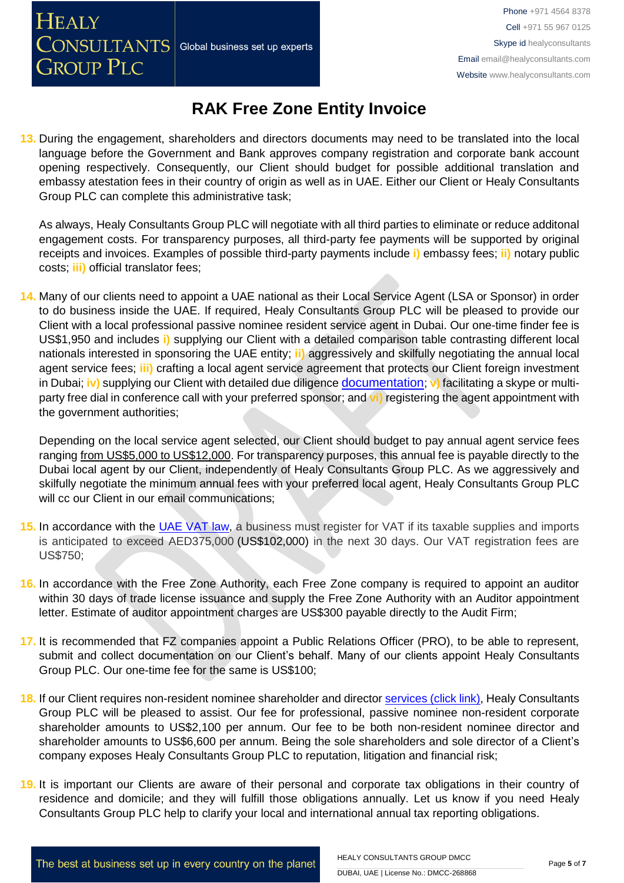## **RAK Free Zone Entity Invoice**

**13.** During the engagement, shareholders and directors documents may need to be translated into the local language before the Government and Bank approves company registration and corporate bank account opening respectively. Consequently, our Client should budget for possible additional translation and embassy atestation fees in their country of origin as well as in UAE. Either our Client or Healy Consultants Group PLC can complete this administrative task;

As always, Healy Consultants Group PLC will negotiate with all third parties to eliminate or reduce additonal engagement costs. For transparency purposes, all third-party fee payments will be supported by original receipts and invoices. Examples of possible third-party payments include **i)** embassy fees; **ii)** notary public costs; **iii)** official translator fees;

**14.** Many of our clients need to appoint a UAE national as their Local Service Agent (LSA or Sponsor) in order to do business inside the UAE. If required, Healy Consultants Group PLC will be pleased to provide our Client with a local professional passive nominee resident service agent in Dubai. Our one-time finder fee is US\$1,950 and includes **i)** supplying our Client with a detailed comparison table contrasting different local nationals interested in sponsoring the UAE entity; **ii)** aggressively and skilfully negotiating the annual local agent service fees; **iii)** crafting a local agent service agreement that protects our Client foreign investment in Dubai; **iv)** supplying our Client with detailed due diligence [documentation](https://www.healyconsultants.com/company-formation/due-diligence/); **v)** facilitating a skype or multiparty free dial in conference call with your preferred sponsor; and **vi)** registering the agent appointment with the government authorities;

Depending on the local service agent selected, our Client should budget to pay annual agent service fees ranging from US\$5,000 to US\$12,000. For transparency purposes, this annual fee is payable directly to the Dubai local agent by our Client, independently of Healy Consultants Group PLC. As we aggressively and skilfully negotiate the minimum annual fees with your preferred local agent, Healy Consultants Group PLC will cc our Client in our email communications;

- **15.** In accordance with the [UAE VAT law,](https://www.tax.gov.ae/legislation.aspx) a business must register for VAT if its taxable supplies and imports is anticipated to exceed AED375,000 (US\$102,000) in the next 30 days. Our VAT registration fees are US\$750;
- **16.** In accordance with the Free Zone Authority, each Free Zone company is required to appoint an auditor within 30 days of trade license issuance and supply the Free Zone Authority with an Auditor appointment letter. Estimate of auditor appointment charges are US\$300 payable directly to the Audit Firm;
- **17.** It is recommended that FZ companies appoint a Public Relations Officer (PRO), to be able to represent, submit and collect documentation on our Client's behalf. Many of our clients appoint Healy Consultants Group PLC. Our one-time fee for the same is US\$100;
- **18.** If our Client requires non-resident nominee shareholder and director services [\(click link\),](http://www.healyconsultants.com/corporate-outsourcing-services/nominee-shareholders-directors/) Healy Consultants Group PLC will be pleased to assist. Our fee for professional, passive nominee non-resident corporate shareholder amounts to US\$2,100 per annum. Our fee to be both non-resident nominee director and shareholder amounts to US\$6,600 per annum. Being the sole shareholders and sole director of a Client's company exposes Healy Consultants Group PLC to reputation, litigation and financial risk;
- **19.** It is important our Clients are aware of their personal and corporate tax obligations in their country of residence and domicile; and they will fulfill those obligations annually. Let us know if you need Healy Consultants Group PLC help to clarify your local and international annual tax reporting obligations.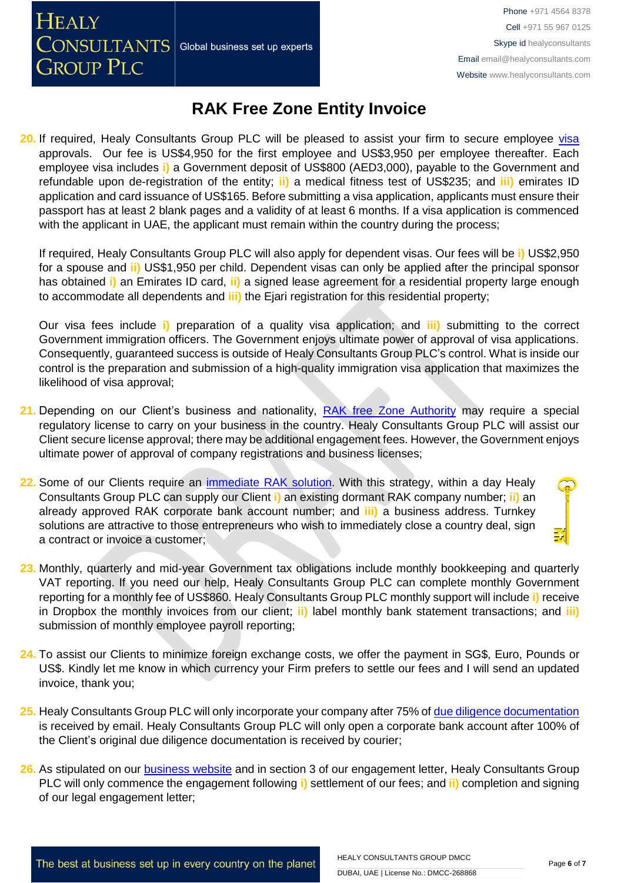CONSULTANTS Global business set up experts

**HEALY** 

**GROUP PLC** 

Phone +971 4564 8378 Cell +971 55 967 0125 Skype id healyconsultants Email [email@healyconsultants.com](mailto:EMAIL@HEALYCONSULTANTS.COM) Website [www.healyconsultants.com](http://www.healyconsultants.com/)

### **RAK Free Zone Entity Invoice**

20. If required, Healy Consultants Group PLC will be pleased to assist your firm to secure employee visa [ap](http://www.healyconsultants.com/dubai-company-registration/employment-visas/)provals. Our fee is US\$4,950 for the first employee and US\$3,950 per employee thereafter. Each employee visa includes **i)** a Government deposit of US\$800 (AED3,000), payable to the Government and refundable upon de-registration of the entity; **ii)** a medical fitness test of US\$235; and **iii)** emirates ID application and card issuance of US\$165. Before submitting a visa application, applicants must ensure their passport has at least 2 blank pages and a validity of at least 6 months. If a visa application is commenced with the applicant in UAE, the applicant must remain within the country during the process;

If required, Healy Consultants Group PLC will also apply for dependent visas. Our fees will be **i)** US\$2,950 for a spouse and **ii)** US\$1,950 per child. Dependent visas can only be applied after the principal sponsor has obtained **i)** an Emirates ID card, **ii)** a signed lease agreement for a residential property large enough to accommodate all dependents and **iii)** the Ejari registration for this residential property;

Our visa fees include **i)** preparation of a quality visa application; and **iii)** submitting to the correct Government immigration officers. The Government enjoys ultimate power of approval of visa applications. Consequently, guaranteed success is outside of Healy Consultants Group PLC's control. What is inside our control is the preparation and submission of a high-quality immigration visa application that maximizes the likelihood of visa approval;

- **21.** Depending on our Client's business and nationality, [RAK free Zone Authority](http://rakftz.com/Contact) may require a special regulatory license to carry on your business in the country. Healy Consultants Group PLC will assist our Client secure license approval; there may be additional engagement fees. However, the Government enjoys ultimate power of approval of company registrations and business licenses;
- **22.** Some of our Clients require an [immediate RAK](http://www.healyconsultants.com/turnkey-solutions/) solution. With this strategy, within a day Healy Consultants Group PLC can supply our Client **i)** an existing dormant RAK company number; **ii)** an already approved RAK corporate bank account number; and **iii)** a business address. Turnkey solutions are attractive to those entrepreneurs who wish to immediately close a country deal, sign a contract or invoice a customer;
- **23.** Monthly, quarterly and mid-year Government tax obligations include monthly bookkeeping and quarterly VAT reporting. If you need our help, Healy Consultants Group PLC can complete monthly Government reporting for a monthly fee of US\$860. Healy Consultants Group PLC monthly support will include **i)** receive in Dropbox the monthly invoices from our client; **ii)** label monthly bank statement transactions; and **iii)** submission of monthly employee payroll reporting;
- **24.** To assist our Clients to minimize foreign exchange costs, we offer the payment in SG\$, Euro, Pounds or US\$. Kindly let me know in which currency your Firm prefers to settle our fees and I will send an updated invoice, thank you;
- **25.** Healy Consultants Group PLC will only incorporate your company after 75% of [due diligence documentation](http://www.healyconsultants.com/due-diligence/) is received by email. Healy Consultants Group PLC will only open a corporate bank account after 100% of the Client's original due diligence documentation is received by courier;
- **26.** As stipulated on our [business website](http://www.healyconsultants.com/) and in section 3 of our engagement letter, Healy Consultants Group PLC will only commence the engagement following **i)** settlement of our fees; and **ii)** completion and signing of our legal engagement letter;